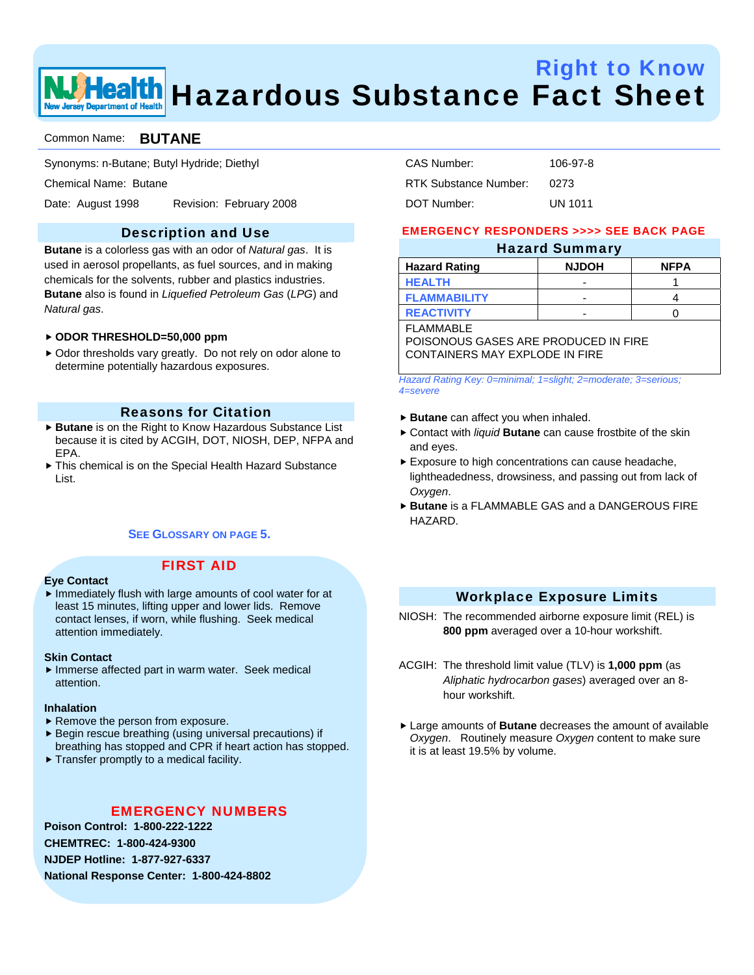# Right to Know We Health Hazardous Substance Fact Sheet

### Common Name: **BUTANE**

Synonyms: n-Butane; Butyl Hydride; Diethyl

Chemical Name: Butane

Date: August 1998 Revision: February 2008

### Description and Use

**Butane** is a colorless gas with an odor of *Natural gas*. It is used in aerosol propellants, as fuel sources, and in making chemicals for the solvents, rubber and plastics industries. **Butane** also is found in *Liquefied Petroleum Gas* (*LPG*) and *Natural gas*.

#### f **ODOR THRESHOLD=50,000 ppm**

▶ Odor thresholds vary greatly. Do not rely on odor alone to determine potentially hazardous exposures.

#### Reasons for Citation

- ▶ Butane is on the Right to Know Hazardous Substance List because it is cited by ACGIH, DOT, NIOSH, DEP, NFPA and EPA.
- $\blacktriangleright$  This chemical is on the Special Health Hazard Substance List.

#### **SEE GLOSSARY ON PAGE 5.**

#### FIRST AID

#### **Eye Contact**

 $\blacktriangleright$  Immediately flush with large amounts of cool water for at least 15 minutes, lifting upper and lower lids. Remove contact lenses, if worn, while flushing. Seek medical attention immediately.

#### **Skin Contact**

 $\blacktriangleright$  Immerse affected part in warm water. Seek medical attention.

#### **Inhalation**

- $\blacktriangleright$  Remove the person from exposure.
- $\blacktriangleright$  Begin rescue breathing (using universal precautions) if breathing has stopped and CPR if heart action has stopped.
- $\blacktriangleright$  Transfer promptly to a medical facility.

#### EMERGENCY NUMBERS

**Poison Control: 1-800-222-1222 CHEMTREC: 1-800-424-9300 NJDEP Hotline: 1-877-927-6337 National Response Center: 1-800-424-8802** 

| CAS Number:           | 106-97-8 |
|-----------------------|----------|
| RTK Substance Number: | 0273     |
| DOT Number:           | UN 1011  |

#### EMERGENCY RESPONDERS >>>> SEE BACK PAGE

#### Hazard Summary

| <b>NJDOH</b> | <b>NFPA</b> |
|--------------|-------------|
|              |             |
|              |             |
|              |             |
|              |             |

**FI AMMARI F** 

POISONOUS GASES ARE PRODUCED IN FIRE CONTAINERS MAY EXPLODE IN FIRE

*Hazard Rating Key: 0=minimal; 1=slight; 2=moderate; 3=serious; 4=severe*

- **Futane** can affect you when inhaled.
- **F** Contact with *liquid* Butane can cause frostbite of the skin and eyes.
- $\blacktriangleright$  Exposure to high concentrations can cause headache, lightheadedness, drowsiness, and passing out from lack of *Oxygen*.
- **Butane** is a FLAMMABLE GAS and a DANGEROUS FIRE HAZARD.

#### Workplace Exposure Limits

- NIOSH: The recommended airborne exposure limit (REL) is **800 ppm** averaged over a 10-hour workshift.
- ACGIH: The threshold limit value (TLV) is **1,000 ppm** (as *Aliphatic hydrocarbon gases*) averaged over an 8 hour workshift.
- $\blacktriangleright$  Large amounts of **Butane** decreases the amount of available *Oxygen*. Routinely measure *Oxygen* content to make sure it is at least 19.5% by volume.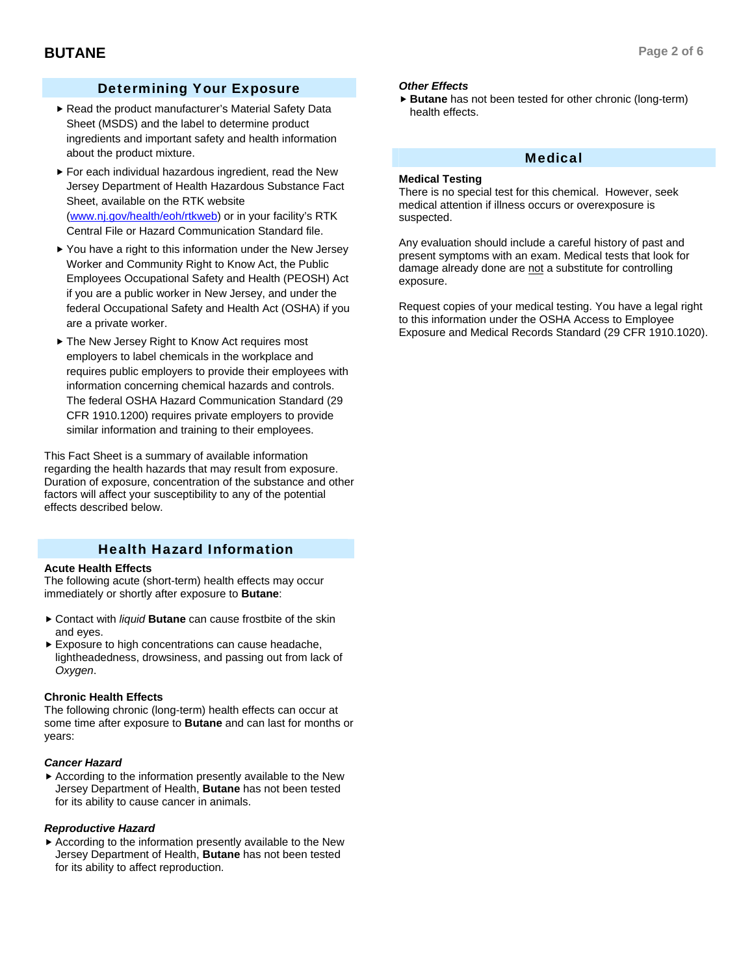# Determining Your Exposure

- Read the product manufacturer's Material Safety Data Sheet (MSDS) and the label to determine product ingredients and important safety and health information about the product mixture.
- $\blacktriangleright$  For each individual hazardous ingredient, read the New Jersey Department of Health Hazardous Substance Fact Sheet, available on the RTK website (www.nj.gov/health/eoh/rtkweb) or in your facility's RTK Central File or Hazard Communication Standard file.
- $\blacktriangleright$  You have a right to this information under the New Jersey Worker and Community Right to Know Act, the Public Employees Occupational Safety and Health (PEOSH) Act if you are a public worker in New Jersey, and under the federal Occupational Safety and Health Act (OSHA) if you are a private worker.
- ▶ The New Jersey Right to Know Act requires most employers to label chemicals in the workplace and requires public employers to provide their employees with information concerning chemical hazards and controls. The federal OSHA Hazard Communication Standard (29 CFR 1910.1200) requires private employers to provide similar information and training to their employees.

This Fact Sheet is a summary of available information regarding the health hazards that may result from exposure. Duration of exposure, concentration of the substance and other factors will affect your susceptibility to any of the potential effects described below.

# Health Hazard Information

#### **Acute Health Effects**

The following acute (short-term) health effects may occur immediately or shortly after exposure to **Butane**:

- ▶ Contact with *liquid* Butane can cause frostbite of the skin and eyes.
- $\blacktriangleright$  Exposure to high concentrations can cause headache, lightheadedness, drowsiness, and passing out from lack of *Oxygen*.

#### **Chronic Health Effects**

The following chronic (long-term) health effects can occur at some time after exposure to **Butane** and can last for months or years:

#### *Cancer Hazard*

 $\blacktriangleright$  According to the information presently available to the New Jersey Department of Health, **Butane** has not been tested for its ability to cause cancer in animals.

#### *Reproductive Hazard*

 $\blacktriangleright$  According to the information presently available to the New Jersey Department of Health, **Butane** has not been tested for its ability to affect reproduction.

#### *Other Effects*

▶ **Butane** has not been tested for other chronic (long-term) health effects.

#### Medical

#### **Medical Testing**

There is no special test for this chemical. However, seek medical attention if illness occurs or overexposure is suspected.

Any evaluation should include a careful history of past and present symptoms with an exam. Medical tests that look for damage already done are not a substitute for controlling exposure.

Request copies of your medical testing. You have a legal right to this information under the OSHA Access to Employee Exposure and Medical Records Standard (29 CFR 1910.1020).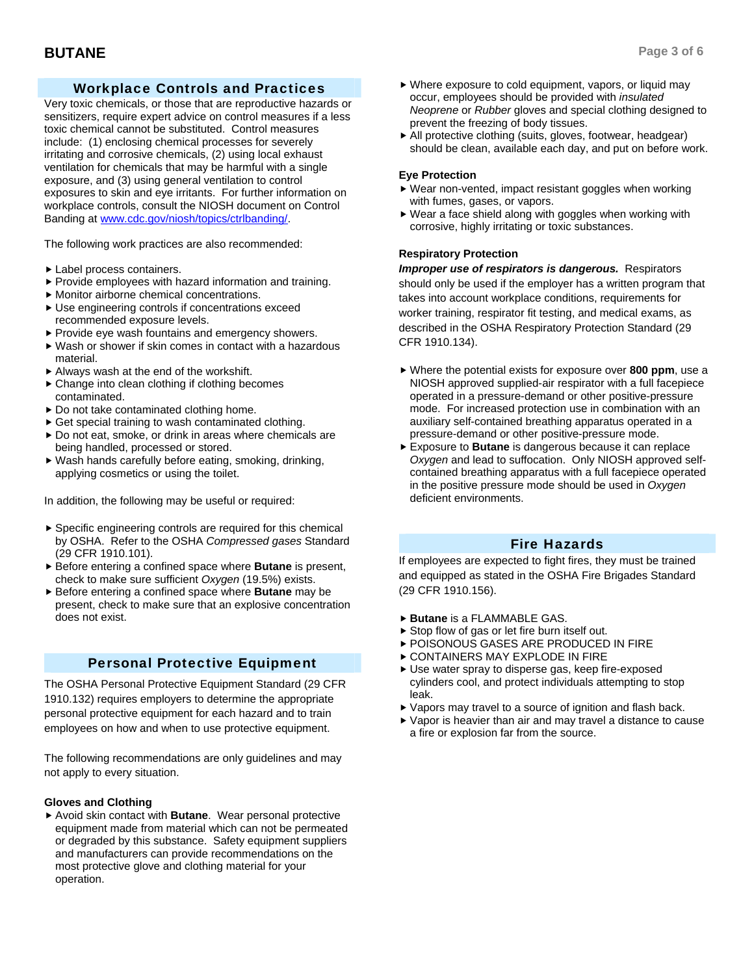# Workplace Controls and Practices

Very toxic chemicals, or those that are reproductive hazards or sensitizers, require expert advice on control measures if a less toxic chemical cannot be substituted. Control measures include: (1) enclosing chemical processes for severely irritating and corrosive chemicals, (2) using local exhaust ventilation for chemicals that may be harmful with a single exposure, and (3) using general ventilation to control exposures to skin and eye irritants. For further information on workplace controls, consult the NIOSH document on Control Banding at www.cdc.gov/niosh/topics/ctrlbanding/.

The following work practices are also recommended:

- $\blacktriangleright$  Label process containers.
- $\blacktriangleright$  Provide employees with hazard information and training.
- $\blacktriangleright$  Monitor airborne chemical concentrations.
- $\blacktriangleright$  Use engineering controls if concentrations exceed recommended exposure levels.
- $\blacktriangleright$  Provide eye wash fountains and emergency showers.
- $\blacktriangleright$  Wash or shower if skin comes in contact with a hazardous material.
- $\blacktriangleright$  Always wash at the end of the workshift.
- $\triangleright$  Change into clean clothing if clothing becomes contaminated.
- $\triangleright$  Do not take contaminated clothing home.
- $\triangleright$  Get special training to wash contaminated clothing.
- $\triangleright$  Do not eat, smoke, or drink in areas where chemicals are being handled, processed or stored.
- $\blacktriangleright$  Wash hands carefully before eating, smoking, drinking, applying cosmetics or using the toilet.

In addition, the following may be useful or required:

- $\blacktriangleright$  Specific engineering controls are required for this chemical by OSHA. Refer to the OSHA *Compressed gases* Standard (29 CFR 1910.101).
- ▶ Before entering a confined space where **Butane** is present, check to make sure sufficient *Oxygen* (19.5%) exists.
- ▶ Before entering a confined space where **Butane** may be present, check to make sure that an explosive concentration does not exist.

# Personal Protective Equipment

The OSHA Personal Protective Equipment Standard (29 CFR 1910.132) requires employers to determine the appropriate personal protective equipment for each hazard and to train employees on how and when to use protective equipment.

The following recommendations are only guidelines and may not apply to every situation.

#### **Gloves and Clothing**

▶ Avoid skin contact with **Butane**. Wear personal protective equipment made from material which can not be permeated or degraded by this substance. Safety equipment suppliers and manufacturers can provide recommendations on the most protective glove and clothing material for your operation.

- $\blacktriangleright$  Where exposure to cold equipment, vapors, or liquid may occur, employees should be provided with *insulated Neoprene* or *Rubber* gloves and special clothing designed to prevent the freezing of body tissues.
- All protective clothing (suits, gloves, footwear, headgear) should be clean, available each day, and put on before work.

#### **Eye Protection**

- $\blacktriangleright$  Wear non-vented, impact resistant goggles when working with fumes, gases, or vapors.
- $\blacktriangleright$  Wear a face shield along with goggles when working with corrosive, highly irritating or toxic substances.

#### **Respiratory Protection**

*Improper use of respirators is dangerous.* Respirators should only be used if the employer has a written program that takes into account workplace conditions, requirements for worker training, respirator fit testing, and medical exams, as described in the OSHA Respiratory Protection Standard (29 CFR 1910.134).

- Where the potential exists for exposure over **800 ppm**, use a NIOSH approved supplied-air respirator with a full facepiece operated in a pressure-demand or other positive-pressure mode. For increased protection use in combination with an auxiliary self-contained breathing apparatus operated in a pressure-demand or other positive-pressure mode.
- **Exposure to Butane** is dangerous because it can replace *Oxygen* and lead to suffocation. Only NIOSH approved selfcontained breathing apparatus with a full facepiece operated in the positive pressure mode should be used in *Oxygen* deficient environments.

# Fire Hazards

If employees are expected to fight fires, they must be trained and equipped as stated in the OSHA Fire Brigades Standard (29 CFR 1910.156).

- **Example is a FLAMMABLE GAS.**
- $\triangleright$  Stop flow of gas or let fire burn itself out.
- **POISONOUS GASES ARE PRODUCED IN FIRE**
- **CONTAINERS MAY EXPLODE IN FIRE**
- Use water spray to disperse gas, keep fire-exposed cylinders cool, and protect individuals attempting to stop leak.
- $\blacktriangleright$  Vapors may travel to a source of ignition and flash back.
- $\blacktriangleright$  Vapor is heavier than air and may travel a distance to cause a fire or explosion far from the source.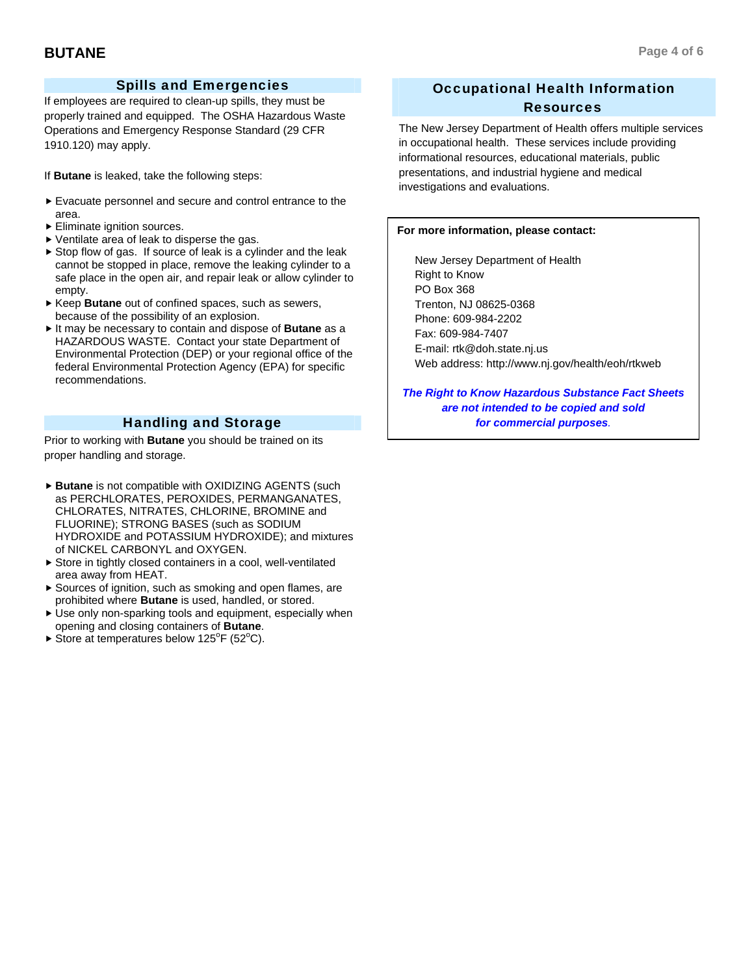### Spills and Emergencies

If employees are required to clean-up spills, they must be properly trained and equipped. The OSHA Hazardous Waste Operations and Emergency Response Standard (29 CFR 1910.120) may apply.

If **Butane** is leaked, take the following steps:

- $\blacktriangleright$  Evacuate personnel and secure and control entrance to the area.
- $\blacktriangleright$  Eliminate ignition sources.
- $\blacktriangleright$  Ventilate area of leak to disperse the gas.
- $\triangleright$  Stop flow of gas. If source of leak is a cylinder and the leak cannot be stopped in place, remove the leaking cylinder to a safe place in the open air, and repair leak or allow cylinder to empty.
- ► Keep **Butane** out of confined spaces, such as sewers, because of the possibility of an explosion.
- It may be necessary to contain and dispose of **Butane** as a HAZARDOUS WASTE. Contact your state Department of Environmental Protection (DEP) or your regional office of the federal Environmental Protection Agency (EPA) for specific recommendations.

# Handling and Storage

Prior to working with **Butane** you should be trained on its proper handling and storage.

- ▶ Butane is not compatible with OXIDIZING AGENTS (such as PERCHLORATES, PEROXIDES, PERMANGANATES, CHLORATES, NITRATES, CHLORINE, BROMINE and FLUORINE); STRONG BASES (such as SODIUM HYDROXIDE and POTASSIUM HYDROXIDE); and mixtures of NICKEL CARBONYL and OXYGEN.
- $\triangleright$  Store in tightly closed containers in a cool, well-ventilated area away from HEAT.
- $\triangleright$  Sources of ignition, such as smoking and open flames, are prohibited where **Butane** is used, handled, or stored.
- $\blacktriangleright$  Use only non-sparking tools and equipment, especially when opening and closing containers of **Butane**.
- Store at temperatures below  $125^{\circ}F$  (52 $^{\circ}C$ ).

# Occupational Health Information Resources

The New Jersey Department of Health offers multiple services in occupational health. These services include providing informational resources, educational materials, public presentations, and industrial hygiene and medical investigations and evaluations.

#### **For more information, please contact:**

 New Jersey Department of Health Right to Know PO Box 368 Trenton, NJ 08625-0368 Phone: 609-984-2202 Fax: 609-984-7407 E-mail: rtk@doh.state.nj.us Web address: http://www.nj.gov/health/eoh/rtkweb

*The Right to Know Hazardous Substance Fact Sheets are not intended to be copied and sold for commercial purposes.*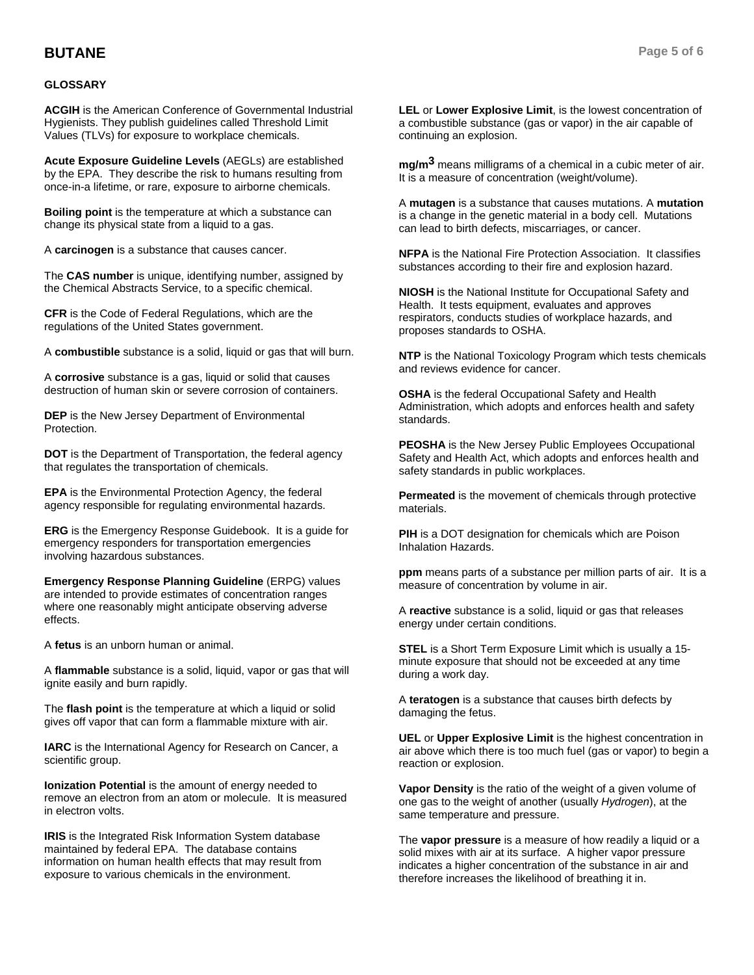# **BUTANE** Page 5 of 6

#### **GLOSSARY**

**ACGIH** is the American Conference of Governmental Industrial Hygienists. They publish guidelines called Threshold Limit Values (TLVs) for exposure to workplace chemicals.

**Acute Exposure Guideline Levels** (AEGLs) are established by the EPA. They describe the risk to humans resulting from once-in-a lifetime, or rare, exposure to airborne chemicals.

**Boiling point** is the temperature at which a substance can change its physical state from a liquid to a gas.

A **carcinogen** is a substance that causes cancer.

The **CAS number** is unique, identifying number, assigned by the Chemical Abstracts Service, to a specific chemical.

**CFR** is the Code of Federal Regulations, which are the regulations of the United States government.

A **combustible** substance is a solid, liquid or gas that will burn.

A **corrosive** substance is a gas, liquid or solid that causes destruction of human skin or severe corrosion of containers.

**DEP** is the New Jersey Department of Environmental Protection.

**DOT** is the Department of Transportation, the federal agency that regulates the transportation of chemicals.

**EPA** is the Environmental Protection Agency, the federal agency responsible for regulating environmental hazards.

**ERG** is the Emergency Response Guidebook. It is a guide for emergency responders for transportation emergencies involving hazardous substances.

**Emergency Response Planning Guideline** (ERPG) values are intended to provide estimates of concentration ranges where one reasonably might anticipate observing adverse effects.

A **fetus** is an unborn human or animal.

A **flammable** substance is a solid, liquid, vapor or gas that will ignite easily and burn rapidly.

The **flash point** is the temperature at which a liquid or solid gives off vapor that can form a flammable mixture with air.

**IARC** is the International Agency for Research on Cancer, a scientific group.

**Ionization Potential** is the amount of energy needed to remove an electron from an atom or molecule. It is measured in electron volts.

**IRIS** is the Integrated Risk Information System database maintained by federal EPA. The database contains information on human health effects that may result from exposure to various chemicals in the environment.

**LEL** or **Lower Explosive Limit**, is the lowest concentration of a combustible substance (gas or vapor) in the air capable of continuing an explosion.

**mg/m3** means milligrams of a chemical in a cubic meter of air. It is a measure of concentration (weight/volume).

A **mutagen** is a substance that causes mutations. A **mutation** is a change in the genetic material in a body cell. Mutations can lead to birth defects, miscarriages, or cancer.

**NFPA** is the National Fire Protection Association. It classifies substances according to their fire and explosion hazard.

**NIOSH** is the National Institute for Occupational Safety and Health. It tests equipment, evaluates and approves respirators, conducts studies of workplace hazards, and proposes standards to OSHA.

**NTP** is the National Toxicology Program which tests chemicals and reviews evidence for cancer.

**OSHA** is the federal Occupational Safety and Health Administration, which adopts and enforces health and safety standards.

**PEOSHA** is the New Jersey Public Employees Occupational Safety and Health Act, which adopts and enforces health and safety standards in public workplaces.

**Permeated** is the movement of chemicals through protective materials.

**PIH** is a DOT designation for chemicals which are Poison Inhalation Hazards.

**ppm** means parts of a substance per million parts of air. It is a measure of concentration by volume in air.

A **reactive** substance is a solid, liquid or gas that releases energy under certain conditions.

**STEL** is a Short Term Exposure Limit which is usually a 15 minute exposure that should not be exceeded at any time during a work day.

A **teratogen** is a substance that causes birth defects by damaging the fetus.

**UEL** or **Upper Explosive Limit** is the highest concentration in air above which there is too much fuel (gas or vapor) to begin a reaction or explosion.

**Vapor Density** is the ratio of the weight of a given volume of one gas to the weight of another (usually *Hydrogen*), at the same temperature and pressure.

The **vapor pressure** is a measure of how readily a liquid or a solid mixes with air at its surface. A higher vapor pressure indicates a higher concentration of the substance in air and therefore increases the likelihood of breathing it in.